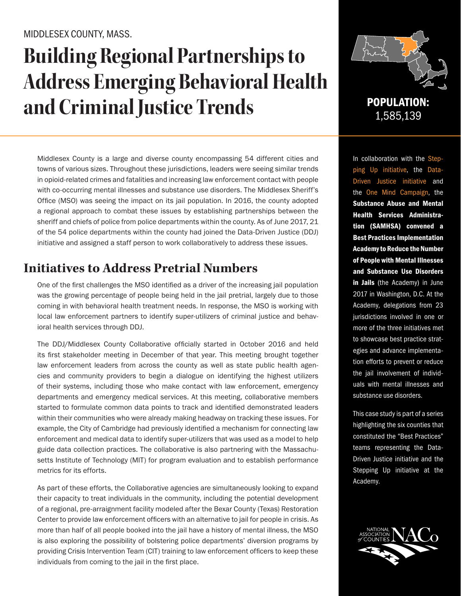#### MIDDLESEX COUNTY, MASS.

# **Building Regional Partnerships to Address Emerging Behavioral Health and Criminal Justice Trends** POPULATION:

Middlesex County is a large and diverse county encompassing 54 different cities and towns of various sizes. Throughout these jurisdictions, leaders were seeing similar trends in opioid-related crimes and fatalities and increasing law enforcement contact with people with co-occurring mental illnesses and substance use disorders. The Middlesex Sheriff's Office (MSO) was seeing the impact on its jail population. In 2016, the county adopted a regional approach to combat these issues by establishing partnerships between the sheriff and chiefs of police from police departments within the county. As of June 2017, 21 of the 54 police departments within the county had joined the Data-Driven Justice (DDJ) initiative and assigned a staff person to work collaboratively to address these issues.

## **Initiatives to Address Pretrial Numbers**

One of the first challenges the MSO identified as a driver of the increasing jail population was the growing percentage of people being held in the jail pretrial, largely due to those coming in with behavioral health treatment needs. In response, the MSO is working with local law enforcement partners to identify super-utilizers of criminal justice and behavioral health services through DDJ.

The DDJ/Middlesex County Collaborative officially started in October 2016 and held its first stakeholder meeting in December of that year. This meeting brought together law enforcement leaders from across the county as well as state public health agencies and community providers to begin a dialogue on identifying the highest utilizers of their systems, including those who make contact with law enforcement, emergency departments and emergency medical services. At this meeting, collaborative members started to formulate common data points to track and identified demonstrated leaders within their communities who were already making headway on tracking these issues. For example, the City of Cambridge had previously identified a mechanism for connecting law enforcement and medical data to identify super-utilizers that was used as a model to help guide data collection practices. The collaborative is also partnering with the Massachusetts Institute of Technology (MIT) for program evaluation and to establish performance metrics for its efforts.

As part of these efforts, the Collaborative agencies are simultaneously looking to expand their capacity to treat individuals in the community, including the potential development of a regional, pre-arraignment facility modeled after the Bexar County (Texas) Restoration Center to provide law enforcement officers with an alternative to jail for people in crisis. As more than half of all people booked into the jail have a history of mental illness, the MSO is also exploring the possibility of bolstering police departments' diversion programs by providing Crisis Intervention Team (CIT) training to law enforcement officers to keep these individuals from coming to the jail in the first place.



1,585,139

In collaboration with the Stepping Up initiative, the Data-Driven Justice initiative and the One Mind Campaign, the Substance Abuse and Mental Health Services Administration (SAMHSA) convened a Best Practices Implementation Academy to Reduce the Number of People with Mental Illnesses and Substance Use Disorders in Jails (the Academy) in June 2017 in Washington, D.C. At the Academy, delegations from 23 jurisdictions involved in one or more of the three initiatives met to showcase best practice strategies and advance implementation efforts to prevent or reduce the jail involvement of individuals with mental illnesses and substance use disorders.

This case study is part of a series highlighting the six counties that constituted the "Best Practices" teams representing the Data-Driven Justice initiative and the Stepping Up initiative at the Academy.